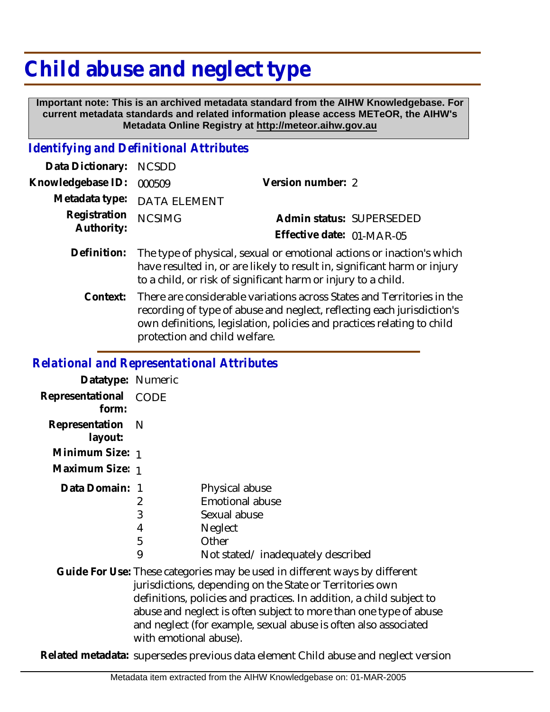## **Child abuse and neglect type**

 **Important note: This is an archived metadata standard from the AIHW Knowledgebase. For current metadata standards and related information please access METeOR, the AIHW's Metadata Online Registry at http://meteor.aihw.gov.au**

## *Identifying and Definitional Attributes*

| Data Dictionary: NCSDD            |                             |                           |
|-----------------------------------|-----------------------------|---------------------------|
| Knowledgebase ID: 000509          |                             | Version number: 2         |
|                                   | Metadata type: DATA ELEMENT |                           |
| Registration NCSIMG<br>Authority: |                             | Admin status: SUPERSEDED  |
|                                   |                             | Effective date: 01-MAR-05 |
|                                   |                             |                           |

- Definition: The type of physical, sexual or emotional actions or inaction's which have resulted in, or are likely to result in, significant harm or injury to a child, or risk of significant harm or injury to a child.
	- There are considerable variations across States and Territories in the recording of type of abuse and neglect, reflecting each jurisdiction's own definitions, legislation, policies and practices relating to child protection and child welfare. **Context:**

## *Relational and Representational Attributes*

| Datatype: Numeric         |                        |                                                                                                                                                                                                                                                                                                                                                        |
|---------------------------|------------------------|--------------------------------------------------------------------------------------------------------------------------------------------------------------------------------------------------------------------------------------------------------------------------------------------------------------------------------------------------------|
| Representational<br>form: | <b>CODE</b>            |                                                                                                                                                                                                                                                                                                                                                        |
| Representation<br>layout: | - N                    |                                                                                                                                                                                                                                                                                                                                                        |
| Minimum Size: 1           |                        |                                                                                                                                                                                                                                                                                                                                                        |
| Maximum Size: 1           |                        |                                                                                                                                                                                                                                                                                                                                                        |
| Data Domain: 1            | 2<br>3<br>4<br>5<br>9  | Physical abuse<br>Emotional abuse<br>Sexual abuse<br>Neglect<br>Other<br>Not stated/inadequately described                                                                                                                                                                                                                                             |
|                           | with emotional abuse). | Guide For Use: These categories may be used in different ways by different<br>jurisdictions, depending on the State or Territories own<br>definitions, policies and practices. In addition, a child subject to<br>abuse and neglect is often subject to more than one type of abuse<br>and neglect (for example, sexual abuse is often also associated |

**Related metadata:** supersedes previous data element Child abuse and neglect version